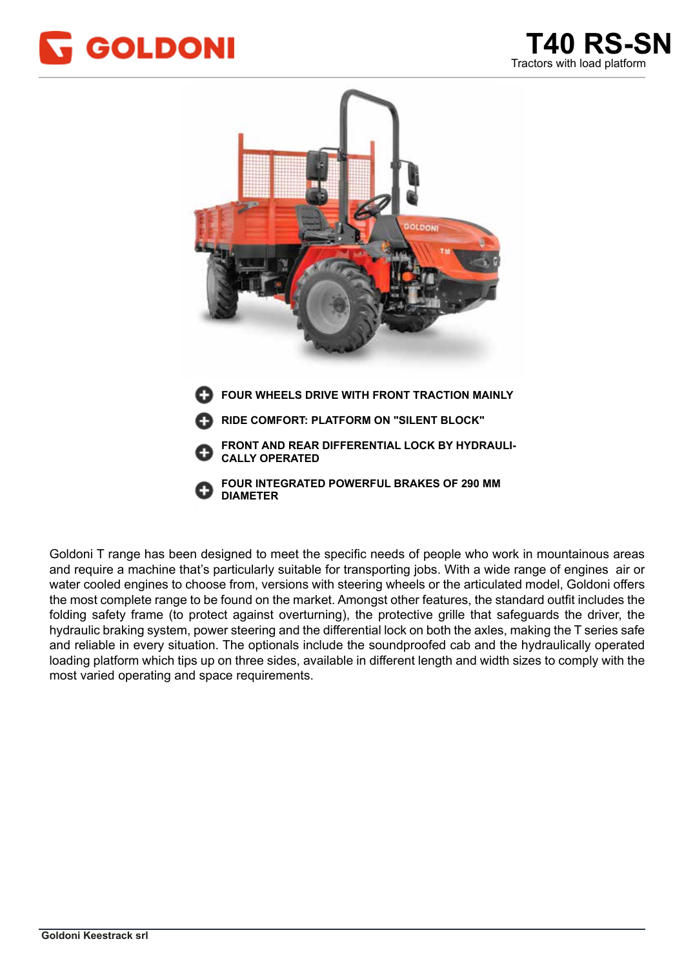





La gamma Goldoni Transcar è pensata per soddisfare le esigenze specifiche di chi lavora in montagna ed Goldoni T range has been designed to meet the specific needs of people who work in mountainous areas and require a machine that's particularly suitable for transporting jobs. With a wide range of engines air or water cooled engines to choose from, versions with steering wheels or the articulated model, Goldoni offers the most complete range to be found on the market. Amongst other features, the standard outfit includes the and reliable in every situation. The optionals include the soundproofed cab and the hydraulically operated folding safety frame (to protect against overturning), the protective grille that safeguards the driver, the hydraulic braking system, power steering and the differential lock on both the axles, making the T series safe loading platform which tips up on three sides, available in different length and width sizes to comply with the most varied operating and space requirements.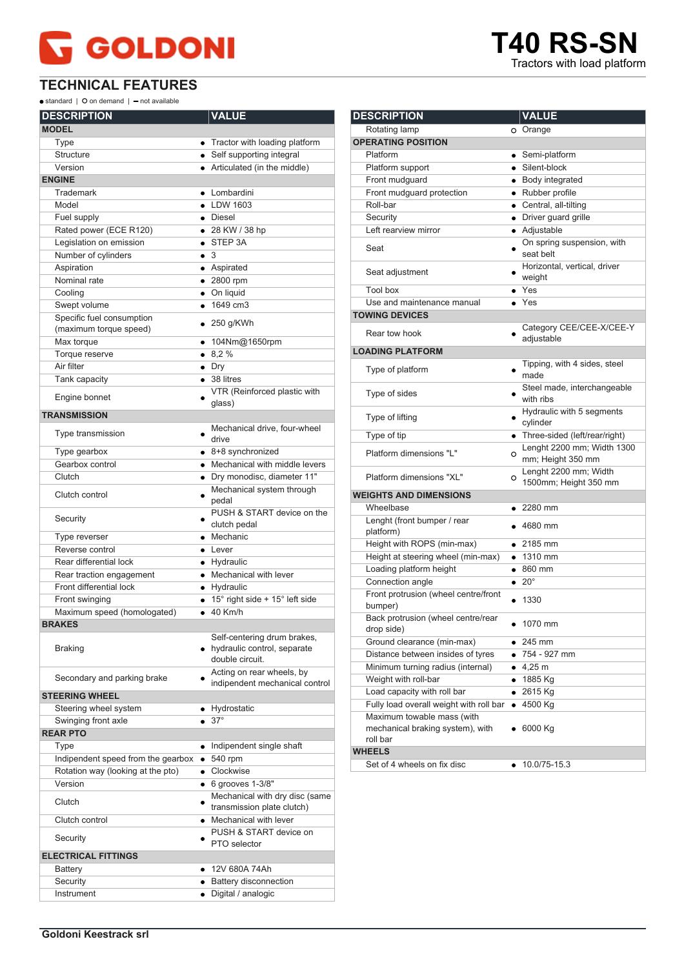## **GOLDONI**

**TECHNICAL FEATURES**

| ● standard   〇 on demand   一 not available   |                                                                                 |
|----------------------------------------------|---------------------------------------------------------------------------------|
| <b>DESCRIPTION</b>                           | <b>VALUE</b>                                                                    |
| <b>MODEL</b>                                 |                                                                                 |
| Type                                         | • Tractor with loading platform                                                 |
| <b>Structure</b><br>Version                  | • Self supporting integral<br>• Articulated (in the middle)                     |
| <b>ENGINE</b>                                |                                                                                 |
| Trademark                                    | • Lombardini                                                                    |
| Model                                        | $\bullet$ LDW 1603                                                              |
| Fuel supply                                  | • Diesel                                                                        |
| Rated power (ECE R120)                       | $\bullet$ 28 KW / 38 hp                                                         |
| Legislation on emission                      | $\bullet$ STEP 3A                                                               |
| Number of cylinders                          | $\bullet$ 3                                                                     |
| Aspiration                                   | • Aspirated                                                                     |
| Nominal rate                                 | $\bullet$ 2800 rpm                                                              |
| Cooling                                      | • On liquid                                                                     |
| Swept volume                                 | • 1649 cm3                                                                      |
| Specific fuel consumption                    | $\bullet$ 250 g/KWh                                                             |
| (maximum torque speed)                       |                                                                                 |
| Max torque                                   | ● 104Nm@1650rpm                                                                 |
| Torque reserve                               | • 8.2%                                                                          |
| Air filter                                   | $\bullet$ Dry                                                                   |
| Tank capacity                                | $\bullet$ 38 litres                                                             |
| Engine bonnet                                | VTR (Reinforced plastic with<br>glass)                                          |
| <b>TRANSMISSION</b>                          |                                                                                 |
|                                              | Mechanical drive, four-wheel                                                    |
| Type transmission                            | drive                                                                           |
| Type gearbox                                 | $\bullet$ 8+8 synchronized                                                      |
| Gearbox control                              | • Mechanical with middle levers                                                 |
| Clutch                                       | · Dry monodisc, diameter 11"                                                    |
| Clutch control                               | Mechanical system through<br>pedal                                              |
| Security                                     | PUSH & START device on the<br>clutch pedal                                      |
| Type reverser                                | • Mechanic                                                                      |
| Reverse control                              | $\bullet$ Lever                                                                 |
| Rear differential lock                       | • Hydraulic                                                                     |
| Rear traction engagement                     | • Mechanical with lever                                                         |
| Front differential lock                      | • Hydraulic                                                                     |
| Front swinging                               | $\bullet$ 15° right side + 15° left side<br>40 Km/h                             |
| Maximum speed (homologated)<br><b>BRAKES</b> | $\bullet$                                                                       |
| Braking                                      | Self-centering drum brakes,<br>• hydraulic control, separate<br>double circuit. |
| Secondary and parking brake                  | Acting on rear wheels, by<br>indipendent mechanical control                     |
| <b>STEERING WHEEL</b>                        |                                                                                 |
| Steering wheel system                        | Hydrostatic                                                                     |
| Swinging front axle<br><b>REAR PTO</b>       | $37^\circ$                                                                      |
|                                              |                                                                                 |
| Type<br>Indipendent speed from the gearbox   | Indipendent single shaft<br>540 rpm                                             |
| Rotation way (looking at the pto)            | $\bullet$<br>• Clockwise                                                        |
| Version                                      | $\bullet$ 6 grooves 1-3/8"                                                      |
| Clutch                                       | Mechanical with dry disc (same<br>transmission plate clutch)                    |
| Clutch control                               | • Mechanical with lever                                                         |
|                                              | PUSH & START device on                                                          |
| Security                                     | PTO selector                                                                    |
| <b>ELECTRICAL FITTINGS</b>                   |                                                                                 |
| Battery                                      | • 12V 680A 74Ah                                                                 |
| Security                                     | • Battery disconnection                                                         |
| Instrument                                   | · Digital / analogic                                                            |

| <b>DESCRIPTION</b>                               | <b>VALUE</b>                                         |
|--------------------------------------------------|------------------------------------------------------|
| Rotating lamp                                    | o Orange                                             |
| <b>OPERATING POSITION</b>                        |                                                      |
| Platform                                         | • Semi-platform                                      |
| Platform support                                 | • Silent-block                                       |
| Front mudguard                                   | • Body integrated                                    |
| Front mudguard protection                        | • Rubber profile                                     |
| Roll-bar                                         | • Central, all-tilting                               |
| Security                                         | • Driver guard grille                                |
| Left rearview mirror                             | • Adjustable                                         |
| Seat                                             | On spring suspension, with<br>seat belt              |
| Seat adjustment                                  | Horizontal, vertical, driver<br>weight               |
| <b>Tool box</b>                                  | $\bullet$ Yes                                        |
| Use and maintenance manual                       | Yes<br>$\bullet$                                     |
| <b>TOWING DEVICES</b>                            |                                                      |
| Rear tow hook                                    | Category CEE/CEE-X/CEE-Y<br>adjustable               |
| <b>LOADING PLATFORM</b>                          |                                                      |
| Type of platform                                 | Tipping, with 4 sides, steel<br>made                 |
| Type of sides                                    | Steel made, interchangeable<br>with ribs             |
| Type of lifting                                  | Hydraulic with 5 segments<br>cylinder                |
| Type of tip                                      | • Three-sided (left/rear/right)                      |
| Platform dimensions "L"                          | Lenght 2200 mm; Width 1300<br>O<br>mm; Height 350 mm |
| Platform dimensions "XL"                         | Lenght 2200 mm; Width<br>O<br>1500mm; Height 350 mm  |
| <b>WEIGHTS AND DIMENSIONS</b>                    |                                                      |
| Wheelbase                                        | 2280 mm                                              |
| Lenght (front bumper / rear<br>platform)         | $\bullet$ 4680 mm                                    |
| Height with ROPS (min-max)                       | $\bullet$ 2185 mm                                    |
| Height at steering wheel (min-max)               | $\bullet$ 1310 mm                                    |
| Loading platform height                          | $\bullet$ 860 mm                                     |
| Connection angle                                 | $20^{\circ}$                                         |
| Front protrusion (wheel centre/front<br>bumper)  | 1330                                                 |
| Back protrusion (wheel centre/rear<br>drop side) | 1070 mm                                              |
| Ground clearance (min-max)                       | 245 mm<br>$\bullet$                                  |
| Distance between insides of tyres                | 754 - 927 mm<br>$\bullet$                            |
| Minimum turning radius (internal)                | 4,25 m<br>$\bullet$                                  |
| Weight with roll-bar                             | 1885 Kg<br>٠                                         |
| Load capacity with roll bar                      | 2615 Kg<br>٠                                         |
| Fully load overall weight with roll bar          | 4500 Kg<br>$\bullet$                                 |
| Maximum towable mass (with                       |                                                      |
| mechanical braking system), with<br>roll bar     | 6000 Kg                                              |
| <b>WHEELS</b>                                    |                                                      |
| Set of 4 wheels on fix disc                      | 10.0/75-15.3                                         |

**T40 RS-SN** 

Tractors with load platform Tractors with load platform